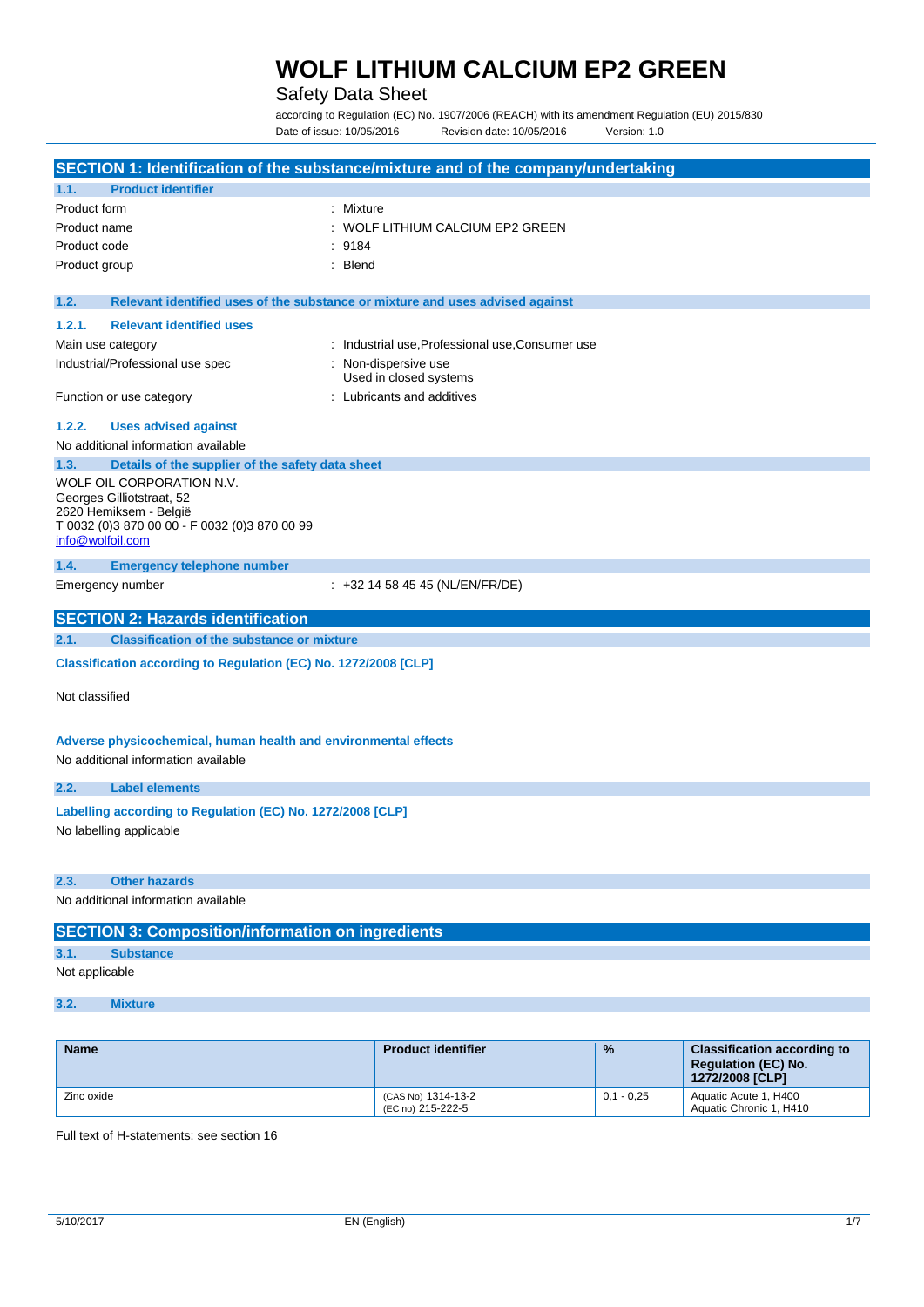## Safety Data Sheet

according to Regulation (EC) No. 1907/2006 (REACH) with its amendment Regulation (EU) 2015/830 Date of issue: 10/05/2016 Revision date: 10/05/2016 Version: 1.0

| SECTION 1: Identification of the substance/mixture and of the company/undertaking |                                                                               |                                                  |              |                                               |
|-----------------------------------------------------------------------------------|-------------------------------------------------------------------------------|--------------------------------------------------|--------------|-----------------------------------------------|
| 1.1.                                                                              | <b>Product identifier</b>                                                     |                                                  |              |                                               |
| Product form                                                                      | : Mixture                                                                     |                                                  |              |                                               |
| Product name                                                                      |                                                                               | WOLF LITHIUM CALCIUM EP2 GREEN                   |              |                                               |
| Product code<br>9184                                                              |                                                                               |                                                  |              |                                               |
| : Blend<br>Product group                                                          |                                                                               |                                                  |              |                                               |
|                                                                                   |                                                                               |                                                  |              |                                               |
| 1.2.                                                                              | Relevant identified uses of the substance or mixture and uses advised against |                                                  |              |                                               |
| 1.2.1.                                                                            | <b>Relevant identified uses</b>                                               |                                                  |              |                                               |
| Main use category                                                                 |                                                                               | : Industrial use, Professional use, Consumer use |              |                                               |
|                                                                                   | Industrial/Professional use spec                                              | : Non-dispersive use                             |              |                                               |
|                                                                                   |                                                                               | Used in closed systems                           |              |                                               |
|                                                                                   | Function or use category                                                      | : Lubricants and additives                       |              |                                               |
| 1.2.2.                                                                            | <b>Uses advised against</b>                                                   |                                                  |              |                                               |
|                                                                                   | No additional information available                                           |                                                  |              |                                               |
| 1.3.                                                                              | Details of the supplier of the safety data sheet                              |                                                  |              |                                               |
|                                                                                   | WOLF OIL CORPORATION N.V.                                                     |                                                  |              |                                               |
|                                                                                   | Georges Gilliotstraat, 52                                                     |                                                  |              |                                               |
|                                                                                   | 2620 Hemiksem - België                                                        |                                                  |              |                                               |
| info@wolfoil.com                                                                  | T 0032 (0)3 870 00 00 - F 0032 (0)3 870 00 99                                 |                                                  |              |                                               |
|                                                                                   |                                                                               |                                                  |              |                                               |
| 1.4.                                                                              | <b>Emergency telephone number</b>                                             |                                                  |              |                                               |
|                                                                                   | Emergency number                                                              | $\div$ +32 14 58 45 45 (NL/EN/FR/DE)             |              |                                               |
|                                                                                   | <b>SECTION 2: Hazards identification</b>                                      |                                                  |              |                                               |
| 2.1.                                                                              | <b>Classification of the substance or mixture</b>                             |                                                  |              |                                               |
| Classification according to Regulation (EC) No. 1272/2008 [CLP]                   |                                                                               |                                                  |              |                                               |
|                                                                                   |                                                                               |                                                  |              |                                               |
| Not classified                                                                    |                                                                               |                                                  |              |                                               |
|                                                                                   |                                                                               |                                                  |              |                                               |
|                                                                                   | Adverse physicochemical, human health and environmental effects               |                                                  |              |                                               |
|                                                                                   | No additional information available                                           |                                                  |              |                                               |
|                                                                                   |                                                                               |                                                  |              |                                               |
| 2.2.                                                                              | <b>Label elements</b>                                                         |                                                  |              |                                               |
|                                                                                   | Labelling according to Regulation (EC) No. 1272/2008 [CLP]                    |                                                  |              |                                               |
|                                                                                   | No labelling applicable                                                       |                                                  |              |                                               |
|                                                                                   |                                                                               |                                                  |              |                                               |
| 2.3.                                                                              | <b>Other hazards</b>                                                          |                                                  |              |                                               |
|                                                                                   | No additional information available                                           |                                                  |              |                                               |
|                                                                                   |                                                                               |                                                  |              |                                               |
|                                                                                   | <b>SECTION 3: Composition/information on ingredients</b>                      |                                                  |              |                                               |
| 3.1.                                                                              | <b>Substance</b>                                                              |                                                  |              |                                               |
| Not applicable                                                                    |                                                                               |                                                  |              |                                               |
|                                                                                   |                                                                               |                                                  |              |                                               |
| 3.2.                                                                              | <b>Mixture</b>                                                                |                                                  |              |                                               |
|                                                                                   |                                                                               |                                                  |              |                                               |
| <b>Name</b>                                                                       |                                                                               | <b>Product identifier</b>                        | %            | <b>Classification according to</b>            |
|                                                                                   |                                                                               |                                                  |              | <b>Regulation (EC) No.</b><br>1272/2008 [CLP] |
| Zinc oxide                                                                        |                                                                               | (CAS No) 1314-13-2                               | $0,1 - 0,25$ | Aquatic Acute 1, H400                         |

Full text of H-statements: see section 16

(EC no) 215-222-5

Aquatic Chronic 1, H410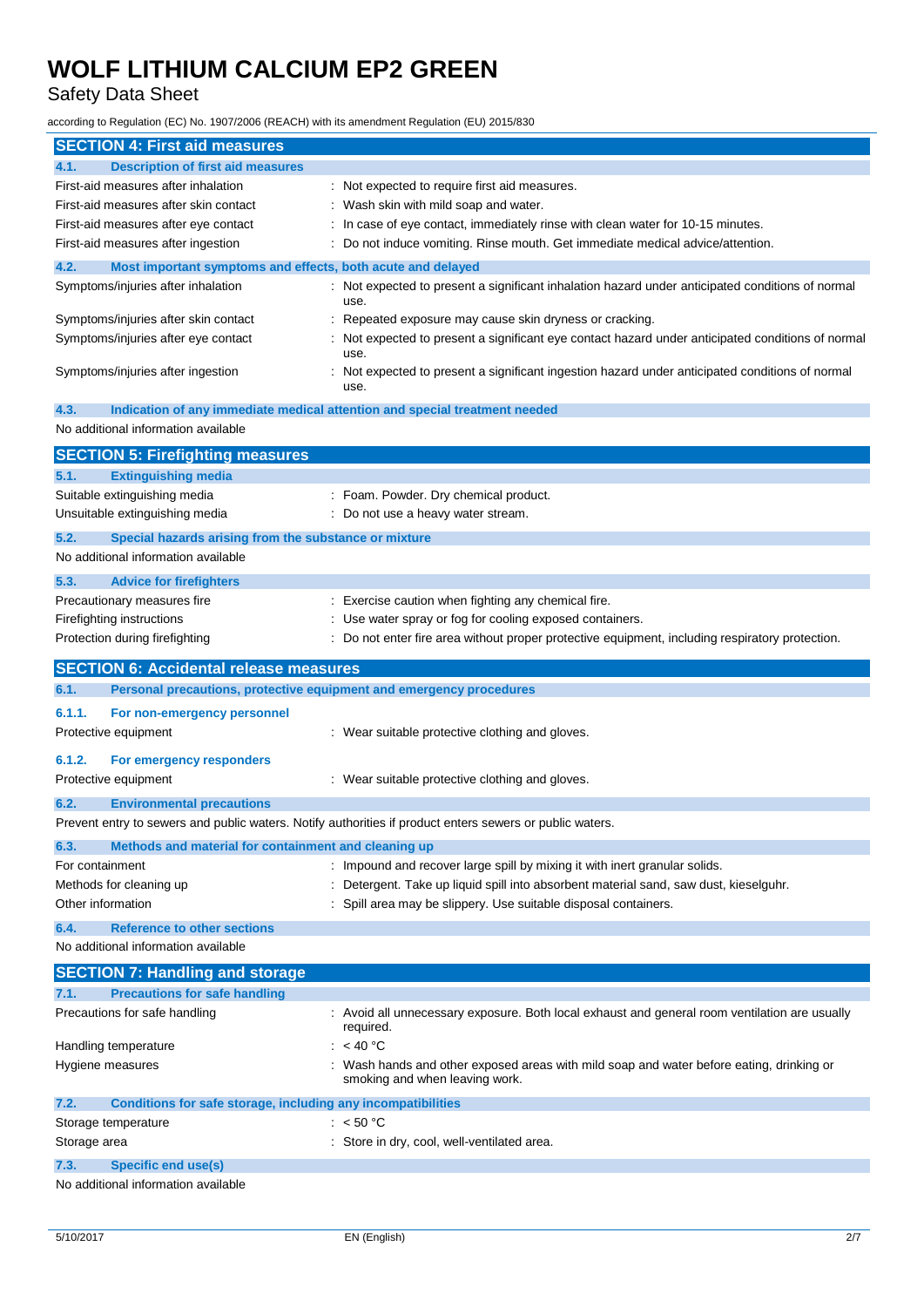# Safety Data Sheet

according to Regulation (EC) No. 1907/2006 (REACH) with its amendment Regulation (EU) 2015/830

| <b>SECTION 4: First aid measures</b>                                        |                                                                                                                          |
|-----------------------------------------------------------------------------|--------------------------------------------------------------------------------------------------------------------------|
| <b>Description of first aid measures</b><br>4.1.                            |                                                                                                                          |
| First-aid measures after inhalation                                         | : Not expected to require first aid measures.                                                                            |
| First-aid measures after skin contact                                       | Wash skin with mild soap and water.                                                                                      |
| First-aid measures after eye contact                                        | In case of eye contact, immediately rinse with clean water for 10-15 minutes.                                            |
| First-aid measures after ingestion                                          | Do not induce vomiting. Rinse mouth. Get immediate medical advice/attention.                                             |
| 4.2.<br>Most important symptoms and effects, both acute and delayed         |                                                                                                                          |
| Symptoms/injuries after inhalation                                          | Not expected to present a significant inhalation hazard under anticipated conditions of normal<br>use.                   |
| Symptoms/injuries after skin contact                                        | Repeated exposure may cause skin dryness or cracking.                                                                    |
| Symptoms/injuries after eye contact                                         | Not expected to present a significant eye contact hazard under anticipated conditions of normal<br>use.                  |
| Symptoms/injuries after ingestion                                           | Not expected to present a significant ingestion hazard under anticipated conditions of normal<br>use.                    |
| 4.3.                                                                        | Indication of any immediate medical attention and special treatment needed                                               |
| No additional information available                                         |                                                                                                                          |
| <b>SECTION 5: Firefighting measures</b>                                     |                                                                                                                          |
| <b>Extinguishing media</b><br>5.1.                                          |                                                                                                                          |
| Suitable extinguishing media                                                | : Foam. Powder. Dry chemical product.                                                                                    |
| Unsuitable extinguishing media                                              | : Do not use a heavy water stream.                                                                                       |
| 5.2.<br>Special hazards arising from the substance or mixture               |                                                                                                                          |
| No additional information available                                         |                                                                                                                          |
|                                                                             |                                                                                                                          |
| 5.3.<br><b>Advice for firefighters</b>                                      |                                                                                                                          |
| Precautionary measures fire                                                 | : Exercise caution when fighting any chemical fire.                                                                      |
| Firefighting instructions                                                   | Use water spray or fog for cooling exposed containers.                                                                   |
| Protection during firefighting                                              | Do not enter fire area without proper protective equipment, including respiratory protection.                            |
| <b>SECTION 6: Accidental release measures</b>                               |                                                                                                                          |
|                                                                             |                                                                                                                          |
| 6.1.<br>Personal precautions, protective equipment and emergency procedures |                                                                                                                          |
| 6.1.1.<br>For non-emergency personnel                                       |                                                                                                                          |
| Protective equipment                                                        | : Wear suitable protective clothing and gloves.                                                                          |
|                                                                             |                                                                                                                          |
| 6.1.2.<br>For emergency responders                                          |                                                                                                                          |
| Protective equipment                                                        | : Wear suitable protective clothing and gloves.                                                                          |
| 6.2.<br><b>Environmental precautions</b>                                    |                                                                                                                          |
|                                                                             | Prevent entry to sewers and public waters. Notify authorities if product enters sewers or public waters.                 |
| 6.3.<br>Methods and material for containment and cleaning up                |                                                                                                                          |
| For containment                                                             | : Impound and recover large spill by mixing it with inert granular solids.                                               |
| Methods for cleaning up                                                     | Detergent. Take up liquid spill into absorbent material sand, saw dust, kieselguhr.                                      |
| Other information                                                           | Spill area may be slippery. Use suitable disposal containers.                                                            |
| 6.4.<br><b>Reference to other sections</b>                                  |                                                                                                                          |
| No additional information available                                         |                                                                                                                          |
| <b>SECTION 7: Handling and storage</b>                                      |                                                                                                                          |
| <b>Precautions for safe handling</b><br>7.1.                                |                                                                                                                          |
| Precautions for safe handling                                               | Avoid all unnecessary exposure. Both local exhaust and general room ventilation are usually<br>required.                 |
| Handling temperature                                                        | : <40 °C                                                                                                                 |
| Hygiene measures                                                            | Wash hands and other exposed areas with mild soap and water before eating, drinking or<br>smoking and when leaving work. |
| 7.2.<br>Conditions for safe storage, including any incompatibilities        |                                                                                                                          |
| Storage temperature                                                         | : $< 50 °C$                                                                                                              |
| Storage area                                                                | : Store in dry, cool, well-ventilated area.                                                                              |
| 7.3.<br><b>Specific end use(s)</b>                                          |                                                                                                                          |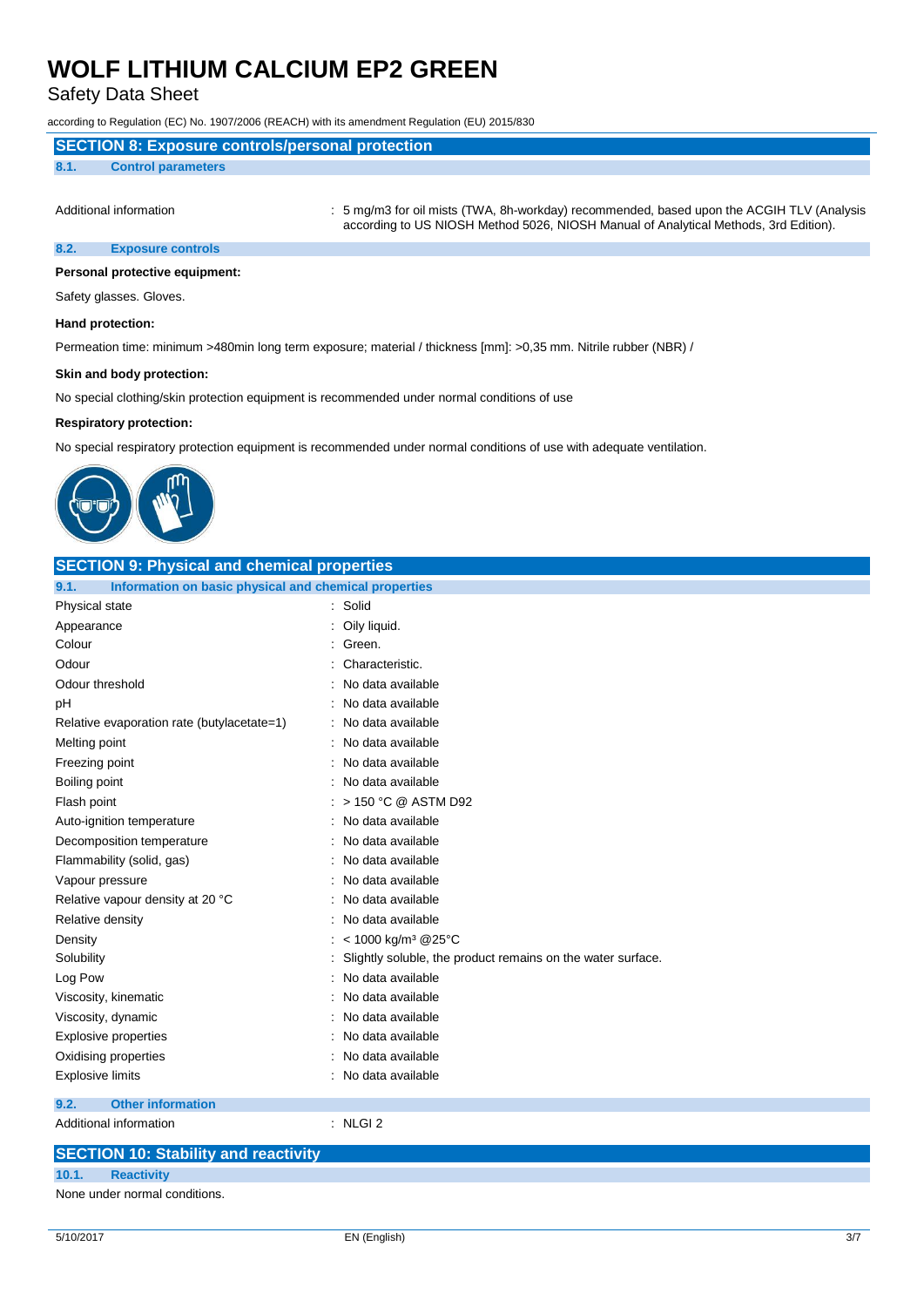## Safety Data Sheet

according to Regulation (EC) No. 1907/2006 (REACH) with its amendment Regulation (EU) 2015/830

### **8.1. Control parameters**

Additional information **incomation** : 5 mg/m3 for oil mists (TWA, 8h-workday) recommended, based upon the ACGIH TLV (Analysis according to US NIOSH Method 5026, NIOSH Manual of Analytical Methods, 3rd Edition).

### **8.2. Exposure controls**

### **Personal protective equipment:**

Safety glasses. Gloves.

### **Hand protection:**

Permeation time: minimum >480min long term exposure; material / thickness [mm]: >0,35 mm. Nitrile rubber (NBR) /

#### **Skin and body protection:**

No special clothing/skin protection equipment is recommended under normal conditions of use

#### **Respiratory protection:**

No special respiratory protection equipment is recommended under normal conditions of use with adequate ventilation.



| <b>SECTION 9: Physical and chemical properties</b>            |                                                             |  |
|---------------------------------------------------------------|-------------------------------------------------------------|--|
| Information on basic physical and chemical properties<br>9.1. |                                                             |  |
| Physical state                                                | Solid<br>÷.                                                 |  |
| Appearance                                                    | Oily liquid.                                                |  |
| Colour                                                        | Green.                                                      |  |
| Odour                                                         | Characteristic.                                             |  |
| Odour threshold                                               | No data available                                           |  |
| рH                                                            | No data available                                           |  |
| Relative evaporation rate (butylacetate=1)                    | No data available                                           |  |
| Melting point                                                 | No data available                                           |  |
| Freezing point                                                | No data available                                           |  |
| Boiling point                                                 | No data available                                           |  |
| Flash point                                                   | > 150 °C @ ASTM D92                                         |  |
| Auto-ignition temperature                                     | No data available                                           |  |
| Decomposition temperature                                     | No data available                                           |  |
| Flammability (solid, gas)                                     | No data available                                           |  |
| Vapour pressure                                               | No data available                                           |  |
| Relative vapour density at 20 °C                              | No data available                                           |  |
| Relative density                                              | No data available                                           |  |
| Density                                                       | < 1000 kg/m <sup>3</sup> @25°C                              |  |
| Solubility                                                    | Slightly soluble, the product remains on the water surface. |  |
| Log Pow                                                       | No data available                                           |  |
| Viscosity, kinematic                                          | No data available                                           |  |
| Viscosity, dynamic                                            | No data available                                           |  |
| <b>Explosive properties</b>                                   | No data available                                           |  |
| Oxidising properties                                          | No data available                                           |  |
| <b>Explosive limits</b>                                       | No data available                                           |  |
| <b>Other information</b><br>9.2.                              |                                                             |  |
| Additional information                                        | $:$ NLGI 2                                                  |  |
| <b>SECTION 10: Stability and reactivity</b>                   |                                                             |  |

#### **10.1. Reactivity**

None under normal conditions.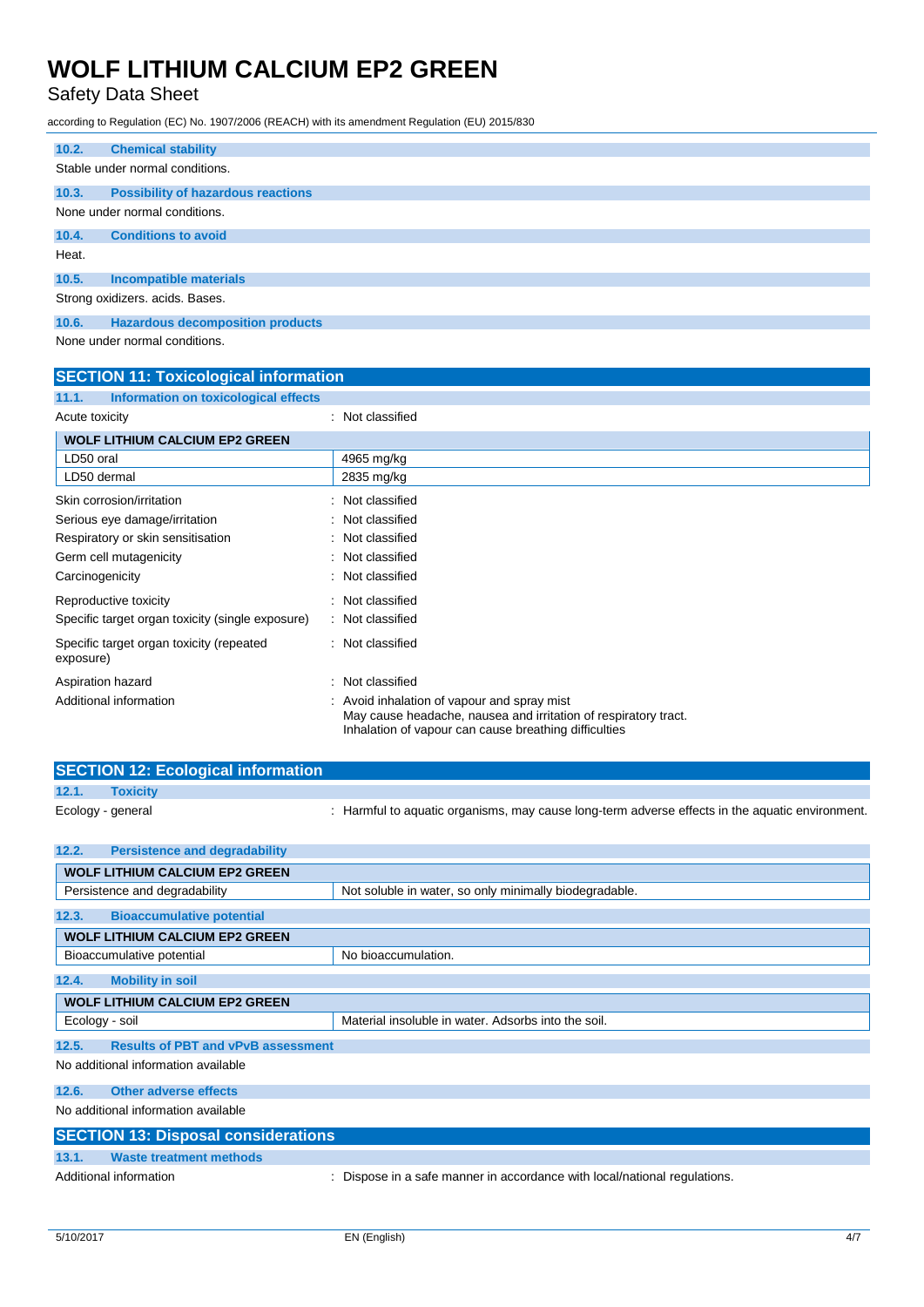## Safety Data Sheet

according to Regulation (EC) No. 1907/2006 (REACH) with its amendment Regulation (EU) 2015/830

| 10.2.                           | <b>Chemical stability</b>                 |  |
|---------------------------------|-------------------------------------------|--|
| Stable under normal conditions. |                                           |  |
| 10.3.                           | <b>Possibility of hazardous reactions</b> |  |
|                                 | None under normal conditions.             |  |
| 10.4.                           | <b>Conditions to avoid</b>                |  |
| Heat.                           |                                           |  |
| 10.5.                           | <b>Incompatible materials</b>             |  |
| Strong oxidizers. acids. Bases. |                                           |  |
| 10.6.                           | <b>Hazardous decomposition products</b>   |  |
| None under normal conditions.   |                                           |  |

### **SECTION 11: Toxicological information**

| Information on toxicological effects<br>11.1.         |                                                                                                                                                                       |
|-------------------------------------------------------|-----------------------------------------------------------------------------------------------------------------------------------------------------------------------|
| Acute toxicity                                        | : Not classified                                                                                                                                                      |
| <b>WOLF LITHIUM CALCIUM EP2 GREEN</b>                 |                                                                                                                                                                       |
| LD50 oral                                             | 4965 mg/kg                                                                                                                                                            |
| LD50 dermal                                           | 2835 mg/kg                                                                                                                                                            |
| Skin corrosion/irritation                             | Not classified                                                                                                                                                        |
| Serious eye damage/irritation                         | : Not classified                                                                                                                                                      |
| Respiratory or skin sensitisation                     | : Not classified                                                                                                                                                      |
| Germ cell mutagenicity                                | : Not classified                                                                                                                                                      |
| Carcinogenicity                                       | Not classified                                                                                                                                                        |
| Reproductive toxicity                                 | Not classified                                                                                                                                                        |
| Specific target organ toxicity (single exposure)      | : Not classified                                                                                                                                                      |
| Specific target organ toxicity (repeated<br>exposure) | : Not classified                                                                                                                                                      |
| Aspiration hazard                                     | Not classified                                                                                                                                                        |
| Additional information                                | Avoid inhalation of vapour and spray mist<br>May cause headache, nausea and irritation of respiratory tract.<br>Inhalation of vapour can cause breathing difficulties |

|       | <b>SECTION 12: Ecological information</b> |                                                                                                 |  |  |
|-------|-------------------------------------------|-------------------------------------------------------------------------------------------------|--|--|
| 12.1. | <b>Toxicity</b>                           |                                                                                                 |  |  |
|       | Ecology - general                         | : Harmful to aquatic organisms, may cause long-term adverse effects in the aquatic environment. |  |  |
| 12.2. | <b>Persistence and degradability</b>      |                                                                                                 |  |  |
|       | <b>WOLF LITHIUM CALCIUM EP2 GREEN</b>     |                                                                                                 |  |  |
|       | Persistence and degradability             | Not soluble in water, so only minimally biodegradable.                                          |  |  |
| 12.3. | <b>Bioaccumulative potential</b>          |                                                                                                 |  |  |
|       | <b>WOLF LITHIUM CALCIUM EP2 GREEN</b>     |                                                                                                 |  |  |
|       | Bioaccumulative potential                 | No bioaccumulation.                                                                             |  |  |
| 12.4. | <b>Mobility in soil</b>                   |                                                                                                 |  |  |

|                | <b>WOLF LITHIUM CALCIUM EP2 GREEN</b>              |                                                     |  |
|----------------|----------------------------------------------------|-----------------------------------------------------|--|
| Ecology - soil |                                                    | Material insoluble in water. Adsorbs into the soil. |  |
|                | 12.5.<br><b>Results of PBT and vPvB assessment</b> |                                                     |  |
|                | No additional information available                |                                                     |  |

**12.6. Other adverse effects**

No additional information available

| <b>SECTION 13: Disposal considerations</b> |                         |                                                                           |  |
|--------------------------------------------|-------------------------|---------------------------------------------------------------------------|--|
| 13.1.                                      | Waste treatment methods |                                                                           |  |
| Additional information                     |                         | : Dispose in a safe manner in accordance with local/national regulations. |  |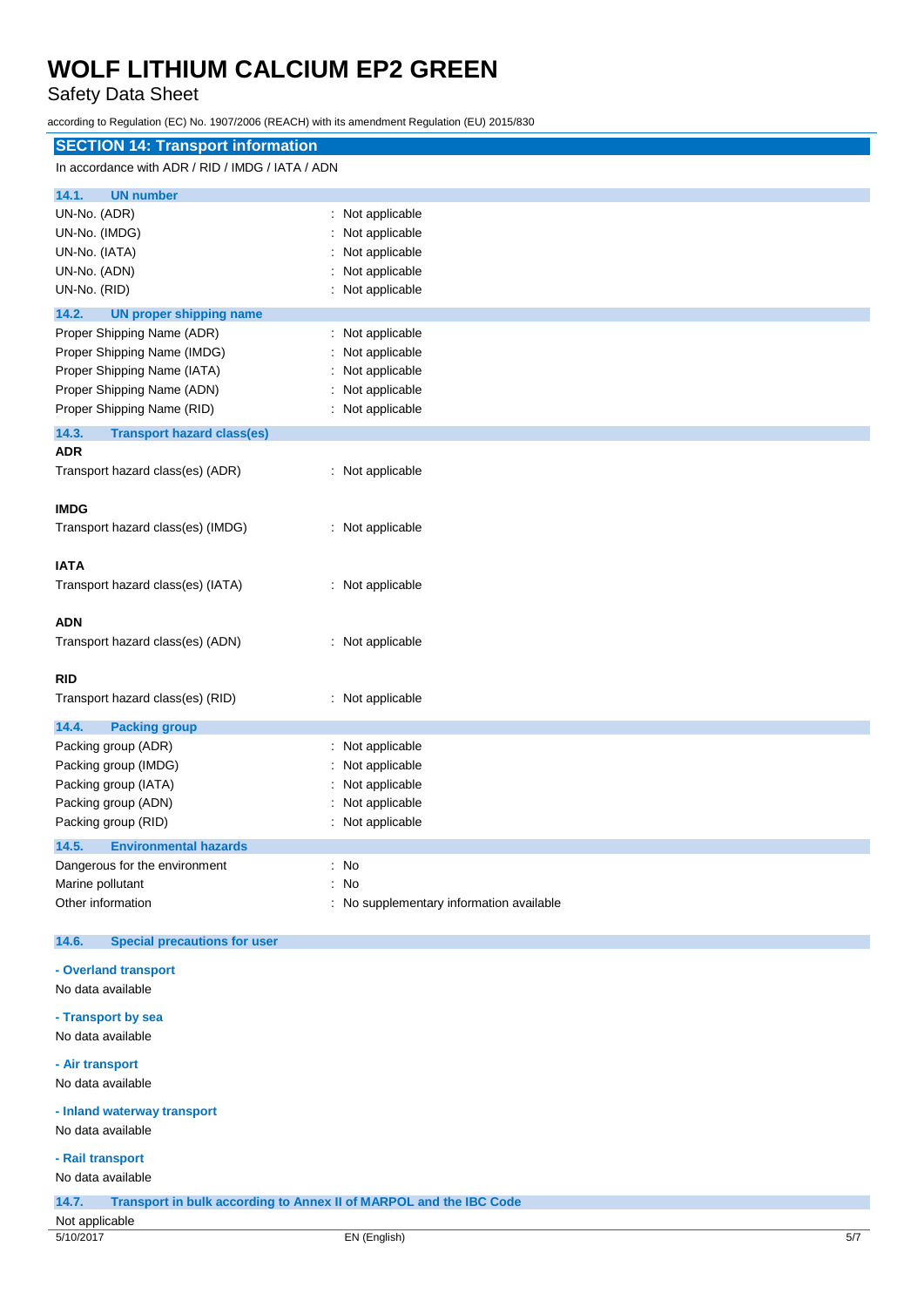## Safety Data Sheet

according to Regulation (EC) No. 1907/2006 (REACH) with its amendment Regulation (EU) 2015/830

| <b>SECTION 14: Transport information</b>         |                                          |  |
|--------------------------------------------------|------------------------------------------|--|
| In accordance with ADR / RID / IMDG / IATA / ADN |                                          |  |
| 14.1.<br><b>UN number</b>                        |                                          |  |
| UN-No. (ADR)                                     | : Not applicable                         |  |
| UN-No. (IMDG)                                    | : Not applicable                         |  |
| UN-No. (IATA)                                    | Not applicable                           |  |
| UN-No. (ADN)                                     | Not applicable                           |  |
| UN-No. (RID)                                     | : Not applicable                         |  |
|                                                  |                                          |  |
| 14.2.<br><b>UN proper shipping name</b>          |                                          |  |
| Proper Shipping Name (ADR)                       | : Not applicable                         |  |
| Proper Shipping Name (IMDG)                      | Not applicable                           |  |
| Proper Shipping Name (IATA)                      | Not applicable                           |  |
| Proper Shipping Name (ADN)                       | Not applicable                           |  |
| Proper Shipping Name (RID)                       | : Not applicable                         |  |
| 14.3.<br><b>Transport hazard class(es)</b>       |                                          |  |
| <b>ADR</b>                                       |                                          |  |
| Transport hazard class(es) (ADR)                 | : Not applicable                         |  |
| <b>IMDG</b>                                      |                                          |  |
| Transport hazard class(es) (IMDG)                | : Not applicable                         |  |
| <b>IATA</b>                                      |                                          |  |
| Transport hazard class(es) (IATA)                | : Not applicable                         |  |
| <b>ADN</b>                                       |                                          |  |
| Transport hazard class(es) (ADN)                 | : Not applicable                         |  |
|                                                  |                                          |  |
| <b>RID</b>                                       |                                          |  |
| Transport hazard class(es) (RID)                 | : Not applicable                         |  |
|                                                  |                                          |  |
| 14.4.<br><b>Packing group</b>                    |                                          |  |
| Packing group (ADR)                              | : Not applicable                         |  |
| Packing group (IMDG)                             | Not applicable                           |  |
| Packing group (IATA)                             | Not applicable                           |  |
| Packing group (ADN)                              | Not applicable                           |  |
| Packing group (RID)                              | : Not applicable                         |  |
| 14.5.<br><b>Environmental hazards</b>            |                                          |  |
| Dangerous for the environment                    | $\therefore$ No                          |  |
| Marine pollutant                                 | : No                                     |  |
| Other information                                | : No supplementary information available |  |
| 14.6.<br><b>Special precautions for user</b>     |                                          |  |
| - Overland transport                             |                                          |  |
| No data available                                |                                          |  |
|                                                  |                                          |  |
| - Transport by sea                               |                                          |  |
| No data available                                |                                          |  |
|                                                  |                                          |  |

## **- Air transport**

No data available

### **- Inland waterway transport**

No data available

#### **- Rail transport**

No data available

**14.7. Transport in bulk according to Annex II of MARPOL and the IBC Code**

### Not applicable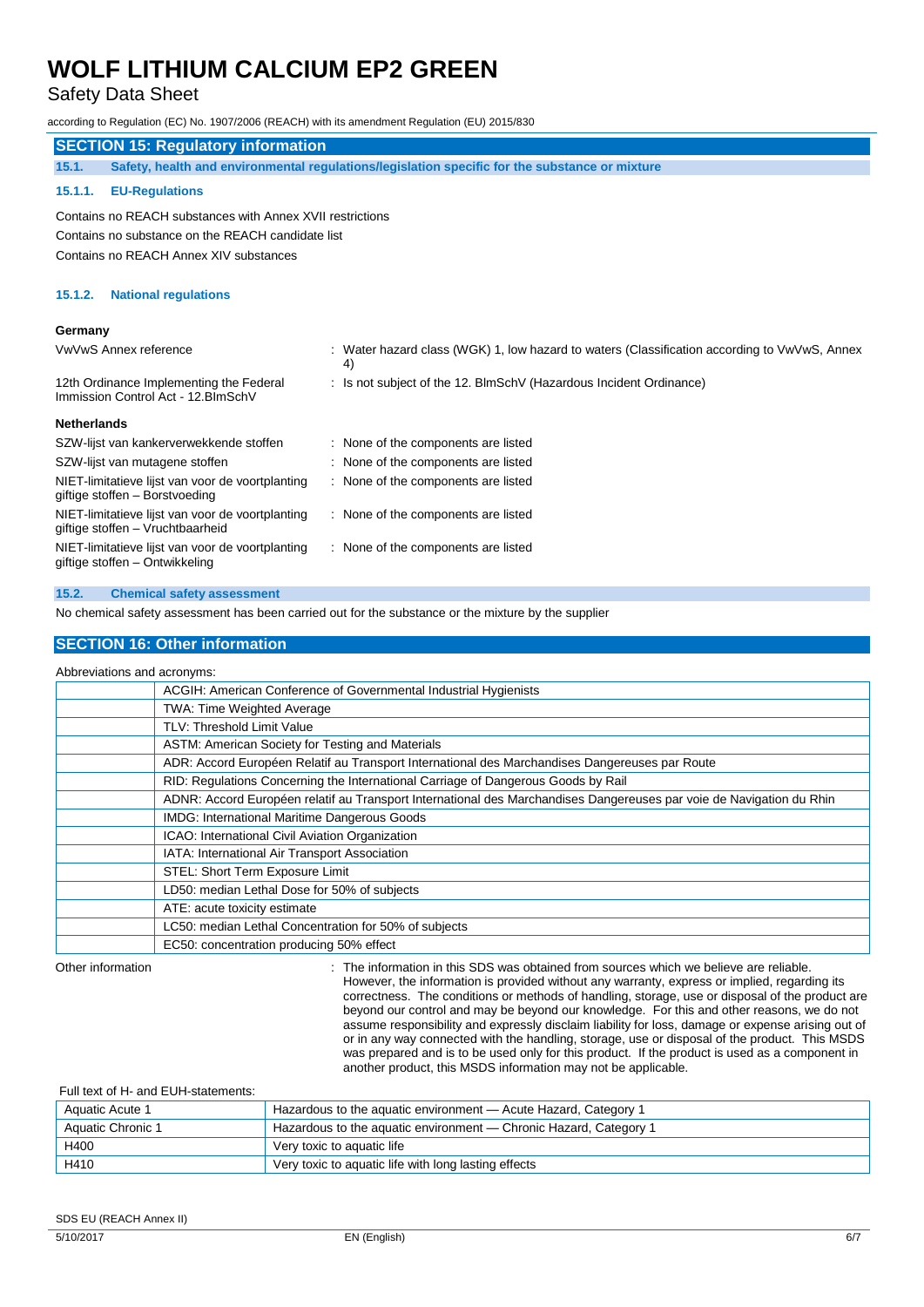## Safety Data Sheet

| according to Regulation (EC) No. 1907/2006 (REACH) with its amendment Regulation (EU) 2015/830 |                                                                                                    |  |
|------------------------------------------------------------------------------------------------|----------------------------------------------------------------------------------------------------|--|
| <b>SECTION 15: Regulatory information</b>                                                      |                                                                                                    |  |
| 15.1.                                                                                          | Safety, health and environmental regulations/legislation specific for the substance or mixture     |  |
| <b>EU-Regulations</b><br>15.1.1.                                                               |                                                                                                    |  |
| Contains no REACH substances with Annex XVII restrictions                                      |                                                                                                    |  |
| Contains no substance on the REACH candidate list                                              |                                                                                                    |  |
| Contains no REACH Annex XIV substances                                                         |                                                                                                    |  |
| <b>National regulations</b><br>15.1.2.                                                         |                                                                                                    |  |
| Germany                                                                                        |                                                                                                    |  |
| VwVwS Annex reference                                                                          | : Water hazard class (WGK) 1, low hazard to waters (Classification according to VwVwS, Annex<br>4) |  |
| 12th Ordinance Implementing the Federal<br>Immission Control Act - 12. BlmSchV                 | : Is not subject of the 12. BlmSchV (Hazardous Incident Ordinance)                                 |  |
| <b>Netherlands</b>                                                                             |                                                                                                    |  |
| SZW-lijst van kankerverwekkende stoffen                                                        | : None of the components are listed                                                                |  |
| SZW-lijst van mutagene stoffen                                                                 | : None of the components are listed                                                                |  |
| NIET-limitatieve lijst van voor de voortplanting<br>giftige stoffen - Borstvoeding             | : None of the components are listed                                                                |  |
| NIET-limitatieve lijst van voor de voortplanting<br>giftige stoffen - Vruchtbaarheid           | : None of the components are listed                                                                |  |
| NIET-limitatieve lijst van voor de voortplanting<br>giftige stoffen - Ontwikkeling             | : None of the components are listed                                                                |  |

#### **15.2. Chemical safety assessment**

No chemical safety assessment has been carried out for the substance or the mixture by the supplier

### **SECTION 16: Other information**

#### Abbreviations and acronyms:

|  | ACGIH: American Conference of Governmental Industrial Hygienists                                                     |  |
|--|----------------------------------------------------------------------------------------------------------------------|--|
|  | <b>TWA: Time Weighted Average</b>                                                                                    |  |
|  | <b>TLV: Threshold Limit Value</b>                                                                                    |  |
|  | ASTM: American Society for Testing and Materials                                                                     |  |
|  | ADR: Accord Européen Relatif au Transport International des Marchandises Dangereuses par Route                       |  |
|  | RID: Regulations Concerning the International Carriage of Dangerous Goods by Rail                                    |  |
|  | ADNR: Accord Européen relatif au Transport International des Marchandises Dangereuses par voie de Navigation du Rhin |  |
|  | IMDG: International Maritime Dangerous Goods                                                                         |  |
|  | ICAO: International Civil Aviation Organization                                                                      |  |
|  | IATA: International Air Transport Association                                                                        |  |
|  | STEL: Short Term Exposure Limit                                                                                      |  |
|  | LD50: median Lethal Dose for 50% of subjects                                                                         |  |
|  | ATE: acute toxicity estimate                                                                                         |  |
|  | LC50: median Lethal Concentration for 50% of subjects                                                                |  |
|  | EC50: concentration producing 50% effect                                                                             |  |
|  |                                                                                                                      |  |

Other information in this SDS was obtained from sources which we believe are reliable. However, the information is provided without any warranty, express or implied, regarding its correctness. The conditions or methods of handling, storage, use or disposal of the product are beyond our control and may be beyond our knowledge. For this and other reasons, we do not assume responsibility and expressly disclaim liability for loss, damage or expense arising out of or in any way connected with the handling, storage, use or disposal of the product. This MSDS was prepared and is to be used only for this product. If the product is used as a component in another product, this MSDS information may not be applicable.

#### Full text of H- and EUH-statements:

| Aquatic Acute 1   | Hazardous to the aquatic environment - Acute Hazard, Category 1   |
|-------------------|-------------------------------------------------------------------|
| Aquatic Chronic 1 | Hazardous to the aquatic environment — Chronic Hazard, Category 1 |
| H400              | Very toxic to aquatic life                                        |
| H410              | Very toxic to aquatic life with long lasting effects              |